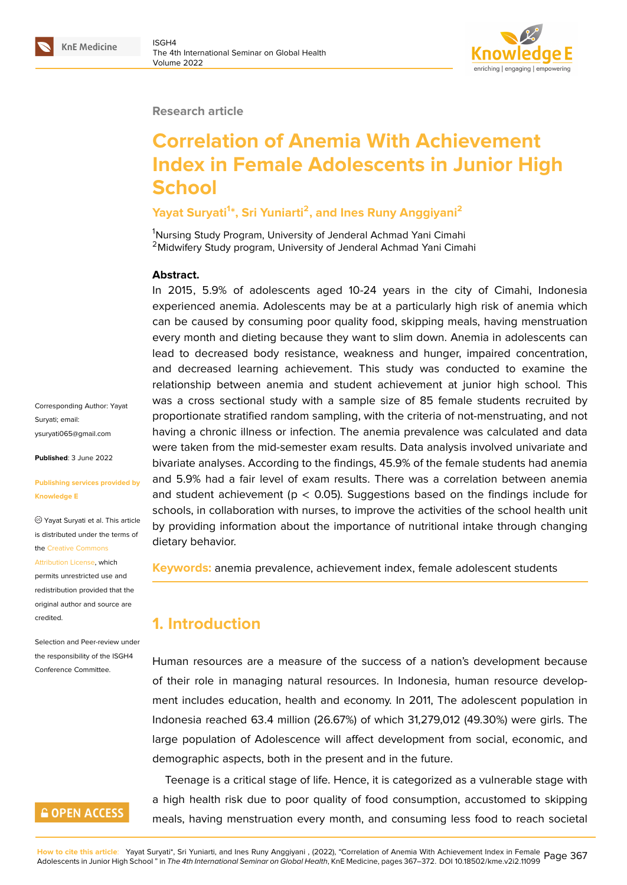#### **Research article**

# **Correlation of Anemia With Achievement Index in Female Adolescents in Junior High School**

#### **Yayat Suryati<sup>1</sup> \*, Sri Yuniarti<sup>2</sup> , and Ines Runy Anggiyani<sup>2</sup>**

<sup>1</sup>Nursing Study Program, University of Jenderal Achmad Yani Cimahi <sup>2</sup> Midwifery Study program, University of Jenderal Achmad Yani Cimahi

#### **Abstract.**

In 2015, 5.9% of adolescents aged 10-24 years in the city of Cimahi, Indonesia experienced anemia. Adolescents may be at a particularly high risk of anemia which can be caused by consuming poor quality food, skipping meals, having menstruation every month and dieting because they want to slim down. Anemia in adolescents can lead to decreased body resistance, weakness and hunger, impaired concentration, and decreased learning achievement. This study was conducted to examine the relationship between anemia and student achievement at junior high school. This was a cross sectional study with a sample size of 85 female students recruited by proportionate stratified random sampling, with the criteria of not-menstruating, and not having a chronic illness or infection. The anemia prevalence was calculated and data were taken from the mid-semester exam results. Data analysis involved univariate and bivariate analyses. According to the findings, 45.9% of the female students had anemia and 5.9% had a fair level of exam results. There was a correlation between anemia and student achievement ( $p < 0.05$ ). Suggestions based on the findings include for schools, in collaboration with nurses, to improve the activities of the school health unit by providing information about the importance of nutritional intake through changing dietary behavior.

**Keywords:** anemia prevalence, achievement index, female adolescent students

# **1. Introduction**

Human resources are a measure of the success of a nation's development because of their role in managing natural resources. In Indonesia, human resource development includes education, health and economy. In 2011, The adolescent population in Indonesia reached 63.4 million (26.67%) of which 31,279,012 (49.30%) were girls. The large population of Adolescence will affect development from social, economic, and demographic aspects, both in the present and in the future.

Teenage is a critical stage of life. Hence, it is categorized as a vulnerable stage with a high health risk due to poor quality of food consumption, accustomed to skipping meals, having menstruation every month, and consuming less food to reach societal

Corresponding Author: Yayat Suryati; email: ysuryati065@gmail.com

**Published**: 3 June 2022

#### **[Publishing services pro](mailto:ysuryati065@gmail.com)vided by Knowledge E**

Yayat Suryati et al. This article is distributed under the terms of the Creative Commons

#### Attribution License, which

permits unrestricted use and redistribution provided that the orig[inal author and sou](https://creativecommons.org/licenses/by/4.0/)rce are [credited.](https://creativecommons.org/licenses/by/4.0/)

Selection and Peer-review under the responsibility of the ISGH4 Conference Committee.

### **GOPEN ACCESS**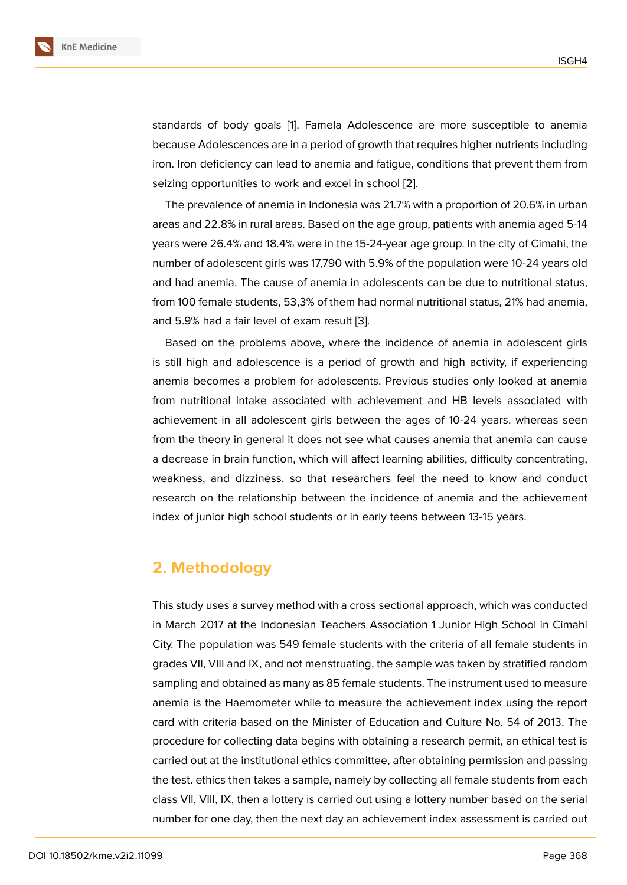standards of body goals [1]. Famela Adolescence are more susceptible to anemia because Adolescences are in a period of growth that requires higher nutrients including iron. Iron deficiency can lead to anemia and fatigue, conditions that prevent them from seizing opportunities to wo[rk](#page-5-0) and excel in school [2].

The prevalence of anemia in Indonesia was 21.7% with a proportion of 20.6% in urban areas and 22.8% in rural areas. Based on the age group, patients with anemia aged 5-14 years were 26.4% and 18.4% were in the 15-24-yea[r a](#page-5-1)ge group. In the city of Cimahi, the number of adolescent girls was 17,790 with 5.9% of the population were 10-24 years old and had anemia. The cause of anemia in adolescents can be due to nutritional status, from 100 female students, 53,3% of them had normal nutritional status, 21% had anemia, and 5.9% had a fair level of exam result [3].

Based on the problems above, where the incidence of anemia in adolescent girls is still high and adolescence is a period of growth and high activity, if experiencing anemia becomes a problem for adolesc[en](#page-5-2)ts. Previous studies only looked at anemia from nutritional intake associated with achievement and HB levels associated with achievement in all adolescent girls between the ages of 10-24 years. whereas seen from the theory in general it does not see what causes anemia that anemia can cause a decrease in brain function, which will affect learning abilities, difficulty concentrating, weakness, and dizziness. so that researchers feel the need to know and conduct research on the relationship between the incidence of anemia and the achievement index of junior high school students or in early teens between 13-15 years.

# **2. Methodology**

This study uses a survey method with a cross sectional approach, which was conducted in March 2017 at the Indonesian Teachers Association 1 Junior High School in Cimahi City. The population was 549 female students with the criteria of all female students in grades VII, VIII and IX, and not menstruating, the sample was taken by stratified random sampling and obtained as many as 85 female students. The instrument used to measure anemia is the Haemometer while to measure the achievement index using the report card with criteria based on the Minister of Education and Culture No. 54 of 2013. The procedure for collecting data begins with obtaining a research permit, an ethical test is carried out at the institutional ethics committee, after obtaining permission and passing the test. ethics then takes a sample, namely by collecting all female students from each class VII, VIII, IX, then a lottery is carried out using a lottery number based on the serial number for one day, then the next day an achievement index assessment is carried out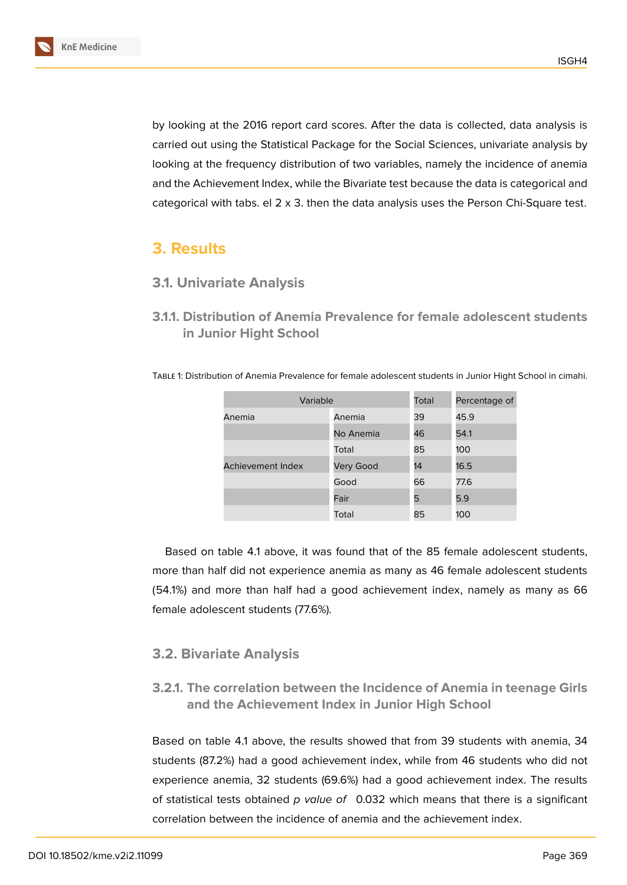by looking at the 2016 report card scores. After the data is collected, data analysis is carried out using the Statistical Package for the Social Sciences, univariate analysis by looking at the frequency distribution of two variables, namely the incidence of anemia and the Achievement Index, while the Bivariate test because the data is categorical and categorical with tabs. el  $2 \times 3$ . then the data analysis uses the Person Chi-Square test.

# **3. Results**

#### **3.1. Univariate Analysis**

**3.1.1. Distribution of Anemia Prevalence for female adolescent students in Junior Hight School**

| Variable          |                  | Total | Percentage of |  |  |
|-------------------|------------------|-------|---------------|--|--|
| Anemia            | Anemia           | 39    | 45.9          |  |  |
|                   | No Anemia        | 46    | 54.1          |  |  |
|                   | Total            | 85    | 100           |  |  |
| Achievement Index | <b>Very Good</b> | 14    | 16.5          |  |  |
|                   | Good             | 66    | 77.6          |  |  |
|                   | Fair             | 5     | 5.9           |  |  |
|                   | Total            | 85    | 100           |  |  |

Table 1: Distribution of Anemia Prevalence for female adolescent students in Junior Hight School in cimahi.

Based on table 4.1 above, it was found that of the 85 female adolescent students, more than half did not experience anemia as many as 46 female adolescent students (54.1%) and more than half had a good achievement index, namely as many as 66 female adolescent students (77.6%).

#### **3.2. Bivariate Analysis**

### **3.2.1. The correlation between the Incidence of Anemia in teenage Girls and the Achievement Index in Junior High School**

Based on table 4.1 above, the results showed that from 39 students with anemia, 34 students (87.2%) had a good achievement index, while from 46 students who did not experience anemia, 32 students (69.6%) had a good achievement index. The results of statistical tests obtained *p value of* 0.032 which means that there is a significant correlation between the incidence of anemia and the achievement index.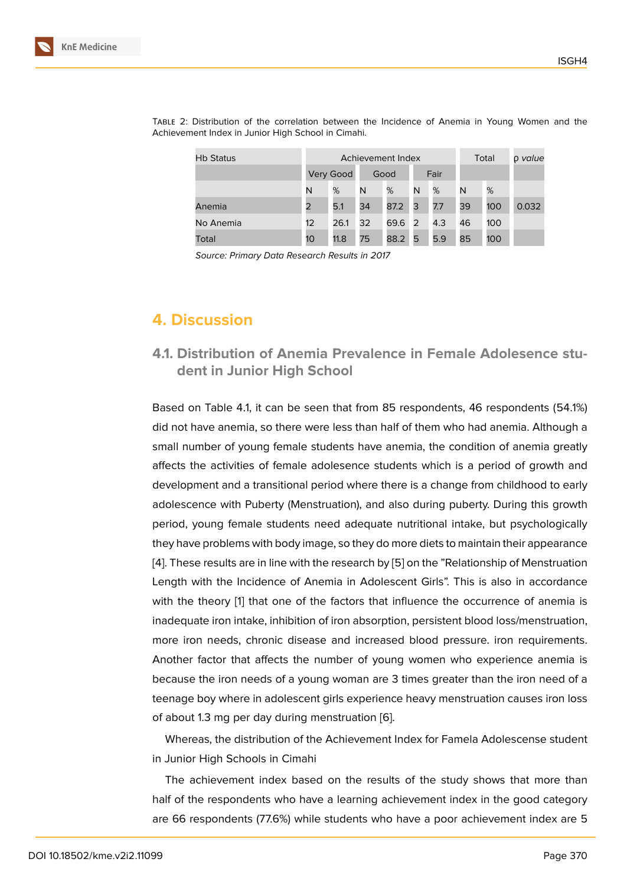| <b>Hb Status</b> | Achievement Index |           |      |      |      |     | Total |     | o value |
|------------------|-------------------|-----------|------|------|------|-----|-------|-----|---------|
|                  |                   | Very Good | Good |      | Fair |     |       |     |         |
|                  | N                 | %         | N    | %    | N    | %   | N     | %   |         |
| Anemia           | $\overline{2}$    | 5.1       | 34   | 87.2 | 3    | 7.7 | 39    | 100 | 0.032   |
| No Anemia        | 12                | 26.1      | 32   | 69.6 | 2    | 4.3 | 46    | 100 |         |
| Total            | 10                | 11.8      | 75   | 88.2 | 5    | 5.9 | 85    | 100 |         |

Table 2: Distribution of the correlation between the Incidence of Anemia in Young Women and the Achievement Index in Junior High School in Cimahi.

*Source: Primary Data Research Results in 2017*

# **4. Discussion**

### **4.1. Distribution of Anemia Prevalence in Female Adolesence student in Junior High School**

Based on Table 4.1, it can be seen that from 85 respondents, 46 respondents (54.1%) did not have anemia, so there were less than half of them who had anemia. Although a small number of young female students have anemia, the condition of anemia greatly affects the activities of female adolesence students which is a period of growth and development and a transitional period where there is a change from childhood to early adolescence with Puberty (Menstruation), and also during puberty. During this growth period, young female students need adequate nutritional intake, but psychologically they have problems with body image, so they do more diets to maintain their appearance [4]. These results are in line with the research by [5] on the "Relationship of Menstruation Length with the Incidence of Anemia in Adolescent Girls". This is also in accordance with the theory [1] that one of the factors that influence the occurrence of anemia is i[na](#page-5-3)dequate iron intake, inhibition of iron absorpti[on](#page-5-4), persistent blood loss/menstruation, more iron needs, chronic disease and increased blood pressure. iron requirements. Another factor t[ha](#page-5-0)t affects the number of young women who experience anemia is because the iron needs of a young woman are 3 times greater than the iron need of a teenage boy where in adolescent girls experience heavy menstruation causes iron loss of about 1.3 mg per day during menstruation [6].

Whereas, the distribution of the Achievement Index for Famela Adolescense student in Junior High Schools in Cimahi

The achievement index based on the res[ul](#page-5-5)ts of the study shows that more than half of the respondents who have a learning achievement index in the good category are 66 respondents (77.6%) while students who have a poor achievement index are 5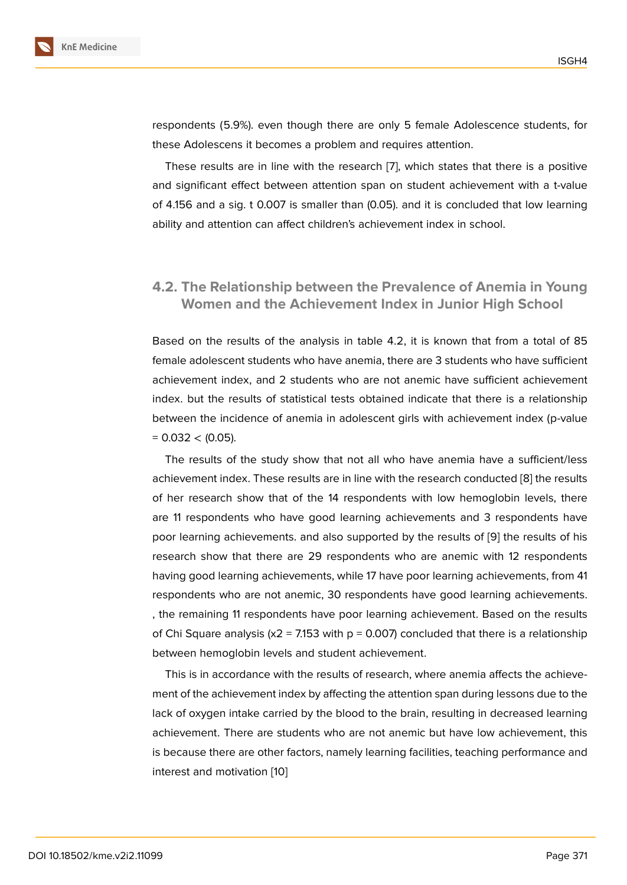respondents (5.9%). even though there are only 5 female Adolescence students, for these Adolescens it becomes a problem and requires attention.

These results are in line with the research [7], which states that there is a positive and significant effect between attention span on student achievement with a t-value of 4.156 and a sig. t 0.007 is smaller than (0.05). and it is concluded that low learning ability and attention can affect children's achie[ve](#page-5-6)ment index in school.

### **4.2. The Relationship between the Prevalence of Anemia in Young Women and the Achievement Index in Junior High School**

Based on the results of the analysis in table 4.2, it is known that from a total of 85 female adolescent students who have anemia, there are 3 students who have sufficient achievement index, and 2 students who are not anemic have sufficient achievement index. but the results of statistical tests obtained indicate that there is a relationship between the incidence of anemia in adolescent girls with achievement index (p-value  $= 0.032 < (0.05)$ .

The results of the study show that not all who have anemia have a sufficient/less achievement index. These results are in line with the research conducted [8] the results of her research show that of the 14 respondents with low hemoglobin levels, there are 11 respondents who have good learning achievements and 3 respondents have poor learning achievements. and also supported by the results of [9] the [re](#page-5-7)sults of his research show that there are 29 respondents who are anemic with 12 respondents having good learning achievements, while 17 have poor learning achievements, from 41 respondents who are not anemic, 30 respondents have good lear[ni](#page-5-8)ng achievements. , the remaining 11 respondents have poor learning achievement. Based on the results of Chi Square analysis ( $x^2$  = 7.153 with p = 0.007) concluded that there is a relationship between hemoglobin levels and student achievement.

This is in accordance with the results of research, where anemia affects the achievement of the achievement index by affecting the attention span during lessons due to the lack of oxygen intake carried by the blood to the brain, resulting in decreased learning achievement. There are students who are not anemic but have low achievement, this is because there are other factors, namely learning facilities, teaching performance and interest and motivation [10]